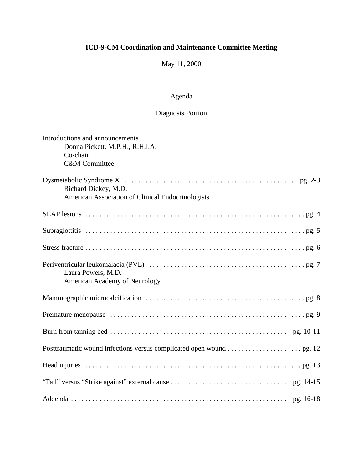May 11, 2000

# Agenda

# Diagnosis Portion

| Introductions and announcements<br>Donna Pickett, M.P.H., R.H.I.A.<br>Co-chair<br><b>C&amp;M</b> Committee |
|------------------------------------------------------------------------------------------------------------|
| Richard Dickey, M.D.<br>American Association of Clinical Endocrinologists                                  |
|                                                                                                            |
|                                                                                                            |
|                                                                                                            |
| Laura Powers, M.D.<br>American Academy of Neurology                                                        |
|                                                                                                            |
|                                                                                                            |
|                                                                                                            |
|                                                                                                            |
|                                                                                                            |
|                                                                                                            |
|                                                                                                            |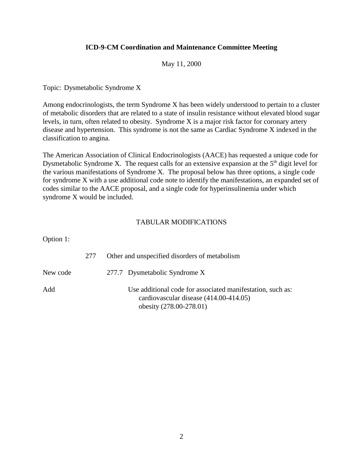#### May 11, 2000

Topic: Dysmetabolic Syndrome X

Among endocrinologists, the term Syndrome X has been widely understood to pertain to a cluster of metabolic disorders that are related to a state of insulin resistance without elevated blood sugar levels, in turn, often related to obesity. Syndrome X is a major risk factor for coronary artery disease and hypertension. This syndrome is not the same as Cardiac Syndrome X indexed in the classification to angina.

The American Association of Clinical Endocrinologists (AACE) has requested a unique code for Dysmetabolic Syndrome X. The request calls for an extensive expansion at the  $5<sup>th</sup>$  digit level for the various manifestations of Syndrome X. The proposal below has three options, a single code for syndrome X with a use additional code note to identify the manifestations, an expanded set of codes similar to the AACE proposal, and a single code for hyperinsulinemia under which syndrome X would be included.

| Option 1: |     |                                                                                                                                 |
|-----------|-----|---------------------------------------------------------------------------------------------------------------------------------|
|           | 277 | Other and unspecified disorders of metabolism                                                                                   |
| New code  |     | 277.7 Dysmetabolic Syndrome X                                                                                                   |
| Add       |     | Use additional code for associated manifestation, such as:<br>cardiovascular disease (414.00-414.05)<br>obesity (278.00-278.01) |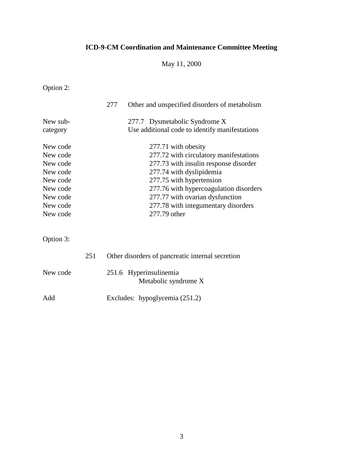May 11, 2000

Option 2:

|                                                                                                          |     | 277 | Other and unspecified disorders of metabolism                                                                                                                                                                                                                                                      |
|----------------------------------------------------------------------------------------------------------|-----|-----|----------------------------------------------------------------------------------------------------------------------------------------------------------------------------------------------------------------------------------------------------------------------------------------------------|
| New sub-<br>category                                                                                     |     |     | 277.7 Dysmetabolic Syndrome X<br>Use additional code to identify manifestations                                                                                                                                                                                                                    |
| New code<br>New code<br>New code<br>New code<br>New code<br>New code<br>New code<br>New code<br>New code |     |     | 277.71 with obesity<br>277.72 with circulatory manifestations<br>277.73 with insulin response disorder<br>277.74 with dyslipidemia<br>277.75 with hypertension<br>277.76 with hypercoagulation disorders<br>277.77 with ovarian dysfunction<br>277.78 with integumentary disorders<br>277.79 other |
| Option 3:                                                                                                |     |     |                                                                                                                                                                                                                                                                                                    |
| New code                                                                                                 | 251 |     | Other disorders of pancreatic internal secretion<br>251.6 Hyperinsulinemia<br>Metabolic syndrome X                                                                                                                                                                                                 |
| Add                                                                                                      |     |     | Excludes: hypoglycemia (251.2)                                                                                                                                                                                                                                                                     |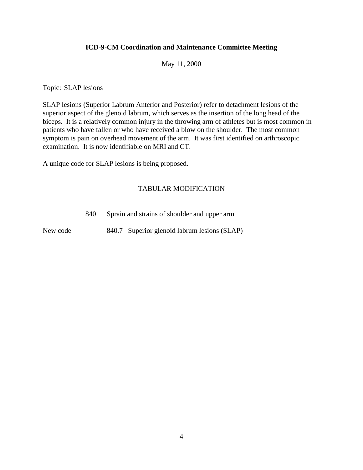May 11, 2000

Topic: SLAP lesions

SLAP lesions (Superior Labrum Anterior and Posterior) refer to detachment lesions of the superior aspect of the glenoid labrum, which serves as the insertion of the long head of the biceps. It is a relatively common injury in the throwing arm of athletes but is most common in patients who have fallen or who have received a blow on the shoulder. The most common symptom is pain on overhead movement of the arm. It was first identified on arthroscopic examination. It is now identifiable on MRI and CT.

A unique code for SLAP lesions is being proposed.

### TABULAR MODIFICATION

840 Sprain and strains of shoulder and upper arm

New code 840.7 Superior glenoid labrum lesions (SLAP)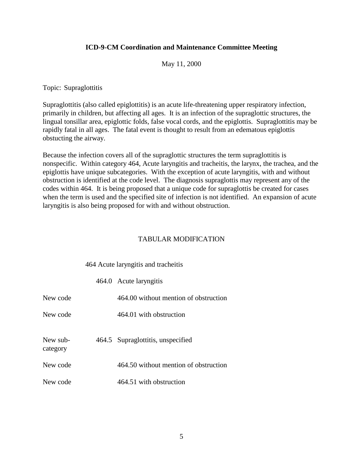May 11, 2000

Topic: Supraglottitis

Supraglottitis (also called epiglottitis) is an acute life-threatening upper respiratory infection, primarily in children, but affecting all ages. It is an infection of the supraglottic structures, the lingual tonsillar area, epiglottic folds, false vocal cords, and the epiglottis. Supraglottitis may be rapidly fatal in all ages. The fatal event is thought to result from an edematous epiglottis obstucting the airway.

Because the infection covers all of the supraglottic structures the term supraglottitis is nonspecific. Within category 464, Acute laryngitis and tracheitis, the larynx, the trachea, and the epiglottis have unique subcategories. With the exception of acute laryngitis, with and without obstruction is identified at the code level. The diagnosis supraglottis may represent any of the codes within 464. It is being proposed that a unique code for supraglottis be created for cases when the term is used and the specified site of infection is not identified. An expansion of acute laryngitis is also being proposed for with and without obstruction.

### TABULAR MODIFICATION

#### 464 Acute laryngitis and tracheitis

|                      | 464.0 Acute laryngitis                |
|----------------------|---------------------------------------|
| New code             | 464.00 without mention of obstruction |
| New code             | 464.01 with obstruction               |
| New sub-<br>category | 464.5 Supraglottitis, unspecified     |
| New code             | 464.50 without mention of obstruction |
| New code             | 464.51 with obstruction               |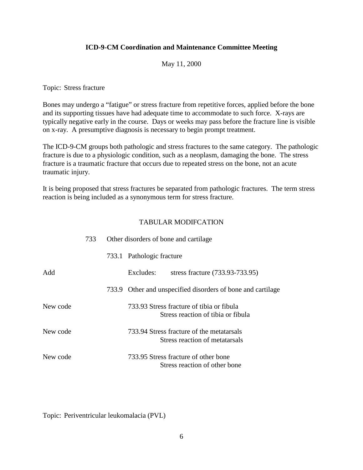#### May 11, 2000

Topic: Stress fracture

Bones may undergo a "fatigue" or stress fracture from repetitive forces, applied before the bone and its supporting tissues have had adequate time to accommodate to such force. X-rays are typically negative early in the course. Days or weeks may pass before the fracture line is visible on x-ray. A presumptive diagnosis is necessary to begin prompt treatment.

The ICD-9-CM groups both pathologic and stress fractures to the same category. The pathologic fracture is due to a physiologic condition, such as a neoplasm, damaging the bone. The stress fracture is a traumatic fracture that occurs due to repeated stress on the bone, not an acute traumatic injury.

It is being proposed that stress fractures be separated from pathologic fractures. The term stress reaction is being included as a synonymous term for stress fracture.

### TABULAR MODIFCATION

|          | 733 | Other disorders of bone and cartilage                                           |
|----------|-----|---------------------------------------------------------------------------------|
|          |     | 733.1 Pathologic fracture                                                       |
| Add      |     | Excludes:<br>stress fracture (733.93-733.95)                                    |
|          |     | 733.9 Other and unspecified disorders of bone and cartilage                     |
| New code |     | 733.93 Stress fracture of tibia or fibula<br>Stress reaction of tibia or fibula |
| New code |     | 733.94 Stress fracture of the metatarsals<br>Stress reaction of metatarsals     |
| New code |     | 733.95 Stress fracture of other bone<br>Stress reaction of other bone           |

Topic: Periventricular leukomalacia (PVL)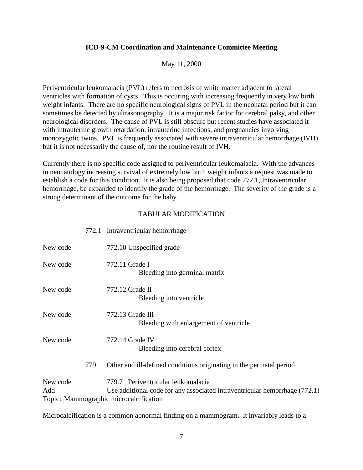#### May 11, 2000

Periventricular leukomalacia (PVL) refers to necrosis of white matter adjacent to lateral ventricles with formation of cysts. This is occuring with increasing frequently in very low birth weight infants. There are no specific neurological signs of PVL in the neonatal period but it can sometimes be detected by ultrasonography. It is a major risk factor for cerebral palsy, and other neurological disorders. The cause of PVL is still obscure but recent studies have associated it with intrauterine growth retardation, intrauterine infections, and pregnancies involving monozygotic twins. PVL is frequently associated with severe intraventricular hemorrhage (IVH) but it is not necessarily the cause of, nor the routine result of IVH.

Currently there is no specific code assigned to periventricular leukomalacia. With the advances in neonatology increasing survival of extremely low birth weight infants a request was made to establish a code for this condition. It is also being proposed that code 772.1, Intraventricular hemorrhage, be expanded to identify the grade of the hemorrhage. The severity of the grade is a strong determinant of the outcome for the baby.

#### TABULAR MODIFICATION

772.1 Intraventricular hemorrhage

| New code        |     | 772.10 Unspecified grade                                                                                                                                   |
|-----------------|-----|------------------------------------------------------------------------------------------------------------------------------------------------------------|
| New code        |     | 772.11 Grade I<br>Bleeding into germinal matrix                                                                                                            |
| New code        |     | 772.12 Grade II<br>Bleeding into ventricle                                                                                                                 |
| New code        |     | $772.13$ Grade III<br>Bleeding with enlargement of ventricle                                                                                               |
| New code        |     | 772.14 Grade IV<br>Bleeding into cerebral cortex                                                                                                           |
|                 | 779 | Other and ill-defined conditions originating in the perinatal period                                                                                       |
| New code<br>Add |     | 779.7 Periventricular leukomalacia<br>Use additional code for any associated intraventricular hemorrhage (772.1)<br>Topic: Mammographic microcalcification |

Microcalcification is a common abnormal finding on a mammogram. It invariably leads to a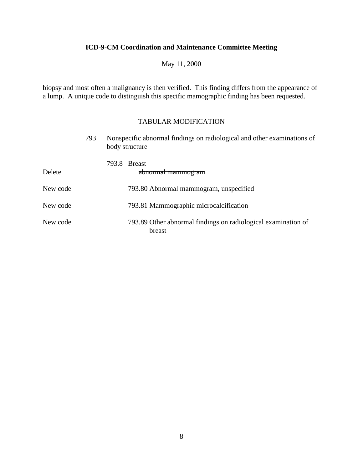May 11, 2000

biopsy and most often a malignancy is then verified. This finding differs from the appearance of a lump. A unique code to distinguish this specific mamographic finding has been requested.

|          | 793 | Nonspecific abnormal findings on radiological and other examinations of<br>body structure |                                                                         |  |  |
|----------|-----|-------------------------------------------------------------------------------------------|-------------------------------------------------------------------------|--|--|
| Delete   |     |                                                                                           | 793.8 Breast<br>abnormal mammogram                                      |  |  |
| New code |     |                                                                                           | 793.80 Abnormal mammogram, unspecified                                  |  |  |
| New code |     |                                                                                           | 793.81 Mammographic microcalcification                                  |  |  |
| New code |     |                                                                                           | 793.89 Other abnormal findings on radiological examination of<br>breast |  |  |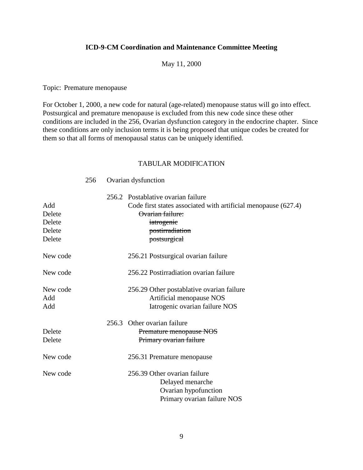#### May 11, 2000

Topic: Premature menopause

256 Ovarian dysfunction

For October 1, 2000, a new code for natural (age-related) menopause status will go into effect. Postsurgical and premature menopause is excluded from this new code since these other conditions are included in the 256, Ovarian dysfunction category in the endocrine chapter. Since these conditions are only inclusion terms it is being proposed that unique codes be created for them so that all forms of menopausal status can be uniquely identified.

| Add<br>Delete<br>Delete<br>Delete<br>Delete | 256.2 Postablative ovarian failure<br>Code first states associated with artificial menopause (627.4)<br>Ovarian failure:<br>iatrogenic<br>postirradiation<br>postsurgical |
|---------------------------------------------|---------------------------------------------------------------------------------------------------------------------------------------------------------------------------|
| New code                                    | 256.21 Postsurgical ovarian failure                                                                                                                                       |
| New code                                    | 256.22 Postirradiation ovarian failure                                                                                                                                    |
| New code<br>Add<br>Add                      | 256.29 Other postablative ovarian failure<br>Artificial menopause NOS<br>Iatrogenic ovarian failure NOS                                                                   |
| Delete<br>Delete                            | 256.3 Other ovarian failure<br>Premature menopause NOS<br>Primary ovarian failure                                                                                         |
| New code                                    | 256.31 Premature menopause                                                                                                                                                |
| New code                                    | 256.39 Other ovarian failure<br>Delayed menarche<br>Ovarian hypofunction<br>Primary ovarian failure NOS                                                                   |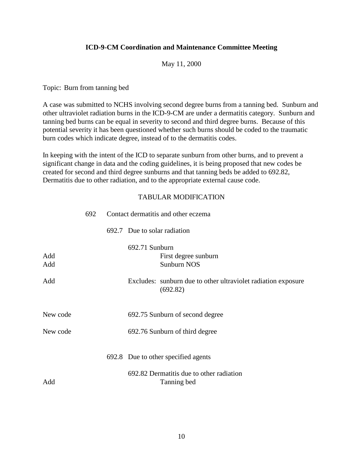#### May 11, 2000

Topic: Burn from tanning bed

A case was submitted to NCHS involving second degree burns from a tanning bed. Sunburn and other ultraviolet radiation burns in the ICD-9-CM are under a dermatitis category. Sunburn and tanning bed burns can be equal in severity to second and third degree burns. Because of this potential severity it has been questioned whether such burns should be coded to the traumatic burn codes which indicate degree, instead of to the dermatitis codes.

In keeping with the intent of the ICD to separate sunburn from other burns, and to prevent a significant change in data and the coding guidelines, it is being proposed that new codes be created for second and third degree sunburns and that tanning beds be added to 692.82, Dermatitis due to other radiation, and to the appropriate external cause code.

|            | 692 | Contact dermatitis and other eczema                                       |  |  |
|------------|-----|---------------------------------------------------------------------------|--|--|
|            |     | 692.7 Due to solar radiation                                              |  |  |
| Add<br>Add |     | 692.71 Sunburn<br>First degree sunburn<br>Sunburn NOS                     |  |  |
| Add        |     | Excludes: sunburn due to other ultraviolet radiation exposure<br>(692.82) |  |  |
| New code   |     | 692.75 Sunburn of second degree                                           |  |  |
| New code   |     | 692.76 Sunburn of third degree                                            |  |  |
|            |     | 692.8 Due to other specified agents                                       |  |  |
| Add        |     | 692.82 Dermatitis due to other radiation<br>Tanning bed                   |  |  |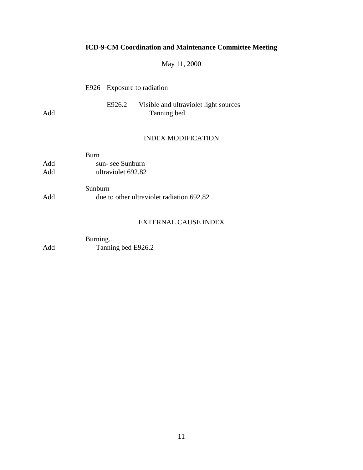# May 11, 2000

|     | E926 Exposure to radiation |                                                             |  |
|-----|----------------------------|-------------------------------------------------------------|--|
| Add |                            | E926.2 Visible and ultraviolet light sources<br>Tanning bed |  |
|     |                            | <b>INDEX MODIFICATION</b>                                   |  |

|     | <b>Burn</b>        |
|-----|--------------------|
| Add | sun-see Sunburn    |
| Add | ultraviolet 692.82 |

|     | Sunburn                                   |  |
|-----|-------------------------------------------|--|
| Add | due to other ultraviolet radiation 692.82 |  |

## EXTERNAL CAUSE INDEX

|     | Burning            |
|-----|--------------------|
| Add | Tanning bed E926.2 |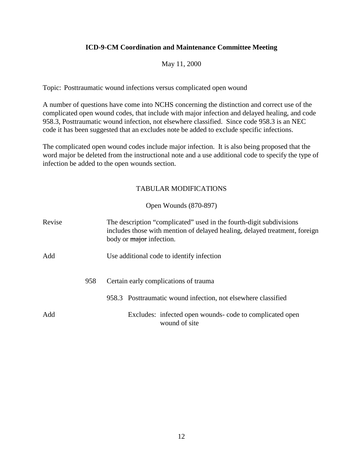### May 11, 2000

Topic: Posttraumatic wound infections versus complicated open wound

A number of questions have come into NCHS concerning the distinction and correct use of the complicated open wound codes, that include with major infection and delayed healing, and code 958.3, Posttraumatic wound infection, not elsewhere classified. Since code 958.3 is an NEC code it has been suggested that an excludes note be added to exclude specific infections.

The complicated open wound codes include major infection. It is also being proposed that the word major be deleted from the instructional note and a use additional code to specify the type of infection be added to the open wounds section.

### TABULAR MODIFICATIONS

### Open Wounds (870-897)

| Revise |     | The description "complicated" used in the fourth-digit subdivisions<br>includes those with mention of delayed healing, delayed treatment, foreign<br>body or <i>major</i> infection. |  |  |  |
|--------|-----|--------------------------------------------------------------------------------------------------------------------------------------------------------------------------------------|--|--|--|
| Add    |     | Use additional code to identify infection                                                                                                                                            |  |  |  |
|        | 958 | Certain early complications of trauma                                                                                                                                                |  |  |  |
|        |     | 958.3 Posttraumatic wound infection, not elsewhere classified                                                                                                                        |  |  |  |
| Add    |     | Excludes: infected open wounds- code to complicated open<br>wound of site                                                                                                            |  |  |  |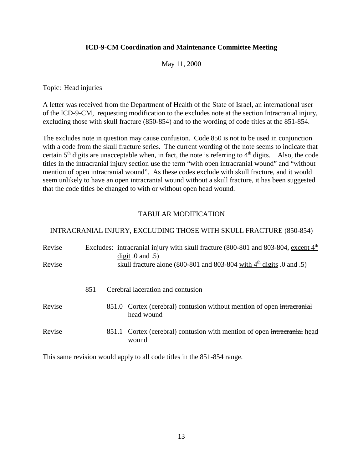#### May 11, 2000

Topic: Head injuries

A letter was received from the Department of Health of the State of Israel, an international user of the ICD-9-CM, requesting modification to the excludes note at the section Intracranial injury, excluding those with skull fracture (850-854) and to the wording of code titles at the 851-854.

The excludes note in question may cause confusion. Code 850 is not to be used in conjunction with a code from the skull fracture series. The current wording of the note seems to indicate that certain  $5<sup>th</sup>$  digits are unacceptable when, in fact, the note is referring to  $4<sup>th</sup>$  digits. Also, the code titles in the intracranial injury section use the term "with open intracranial wound" and "without mention of open intracranial wound". As these codes exclude with skull fracture, and it would seem unlikely to have an open intracranial wound without a skull fracture, it has been suggested that the code titles be changed to with or without open head wound.

### TABULAR MODIFICATION

#### INTRACRANIAL INJURY, EXCLUDING THOSE WITH SKULL FRACTURE (850-854)

| Revise<br>Revise |     | Excludes: intracranial injury with skull fracture $(800-801$ and $803-804$ , except $4th$<br>$\frac{digit}{10}$ and .5)<br>skull fracture alone (800-801 and 803-804 with $4th$ digits 0 and .5) |
|------------------|-----|--------------------------------------------------------------------------------------------------------------------------------------------------------------------------------------------------|
|                  | 851 | Cerebral laceration and contusion                                                                                                                                                                |
| Revise           |     | 851.0 Cortex (cerebral) contusion without mention of open intracranial<br>head wound                                                                                                             |
| Revise           |     | 851.1 Cortex (cerebral) contusion with mention of open intracranial head<br>wound                                                                                                                |

This same revision would apply to all code titles in the 851-854 range.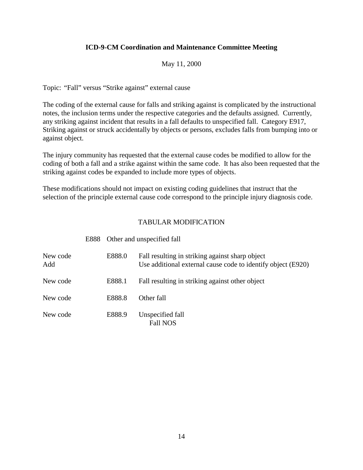### May 11, 2000

Topic: "Fall" versus "Strike against" external cause

The coding of the external cause for falls and striking against is complicated by the instructional notes, the inclusion terms under the respective categories and the defaults assigned. Currently, any striking against incident that results in a fall defaults to unspecified fall. Category E917, Striking against or struck accidentally by objects or persons, excludes falls from bumping into or against object.

The injury community has requested that the external cause codes be modified to allow for the coding of both a fall and a strike against within the same code. It has also been requested that the striking against codes be expanded to include more types of objects.

These modifications should not impact on existing coding guidelines that instruct that the selection of the principle external cause code correspond to the principle injury diagnosis code.

|                 |  | E888 Other and unspecified fall |                                                                                                                 |  |  |
|-----------------|--|---------------------------------|-----------------------------------------------------------------------------------------------------------------|--|--|
| New code<br>Add |  | E888.0                          | Fall resulting in striking against sharp object<br>Use additional external cause code to identify object (E920) |  |  |
| New code        |  | E888.1                          | Fall resulting in striking against other object                                                                 |  |  |
| New code        |  | E888.8                          | Other fall                                                                                                      |  |  |
| New code        |  | E888.9                          | Unspecified fall<br><b>Fall NOS</b>                                                                             |  |  |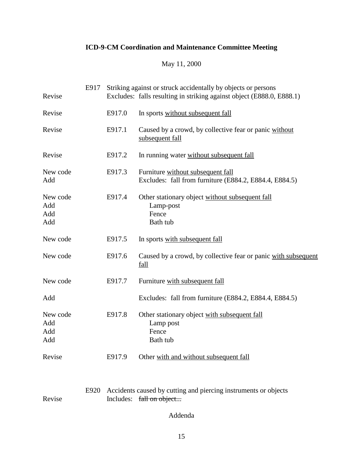# May 11, 2000

| Revise                        | E917 |        | Striking against or struck accidentally by objects or persons<br>Excludes: falls resulting in striking against object (E888.0, E888.1) |  |  |  |  |
|-------------------------------|------|--------|----------------------------------------------------------------------------------------------------------------------------------------|--|--|--|--|
| Revise                        |      | E917.0 | In sports without subsequent fall                                                                                                      |  |  |  |  |
| Revise                        |      | E917.1 | Caused by a crowd, by collective fear or panic without<br>subsequent fall                                                              |  |  |  |  |
| Revise                        |      | E917.2 | In running water without subsequent fall                                                                                               |  |  |  |  |
| New code<br>Add               |      | E917.3 | Furniture without subsequent fall<br>Excludes: fall from furniture (E884.2, E884.4, E884.5)                                            |  |  |  |  |
| New code<br>Add<br>Add<br>Add |      | E917.4 | Other stationary object without subsequent fall<br>Lamp-post<br>Fence<br>Bath tub                                                      |  |  |  |  |
| New code                      |      | E917.5 | In sports with subsequent fall                                                                                                         |  |  |  |  |
| New code                      |      | E917.6 | Caused by a crowd, by collective fear or panic with subsequent<br>fall                                                                 |  |  |  |  |
| New code                      |      | E917.7 | Furniture with subsequent fall                                                                                                         |  |  |  |  |
| Add                           |      |        | Excludes: fall from furniture (E884.2, E884.4, E884.5)                                                                                 |  |  |  |  |
| New code<br>Add<br>Add<br>Add |      | E917.8 | Other stationary object with subsequent fall<br>Lamp post<br>Fence<br>Bath tub                                                         |  |  |  |  |
| Revise                        |      | E917.9 | Other with and without subsequent fall                                                                                                 |  |  |  |  |
| Revise                        | E920 |        | Accidents caused by cutting and piercing instruments or objects<br>Includes: fall on object                                            |  |  |  |  |

Addenda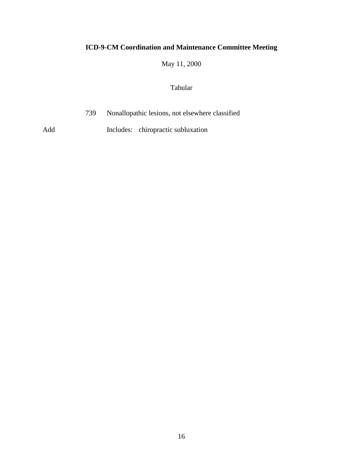May 11, 2000

### Tabular

739 Nonallopathic lesions, not elsewhere classified

Add Includes: chiropractic subluxation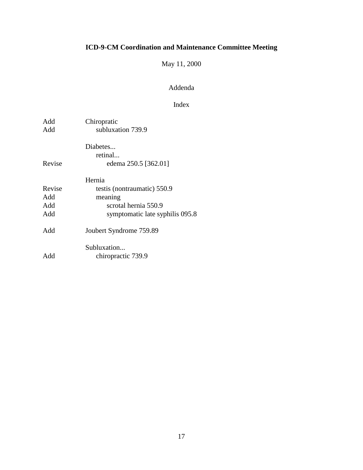# May 11, 2000

### Addenda

### Index

| Add<br>Add | Chiropratic<br>subluxation 739.9 |
|------------|----------------------------------|
|            | Diabetes<br>retinal              |
| Revise     | edema 250.5 [362.01]             |
|            | Hernia                           |
| Revise     | testis (nontraumatic) 550.9      |
| Add        | meaning                          |
| Add        | scrotal hernia 550.9             |
| Add        | symptomatic late syphilis 095.8  |
| Add        | Joubert Syndrome 759.89          |
|            | Subluxation                      |
| Add        | chiropractic 739.9               |